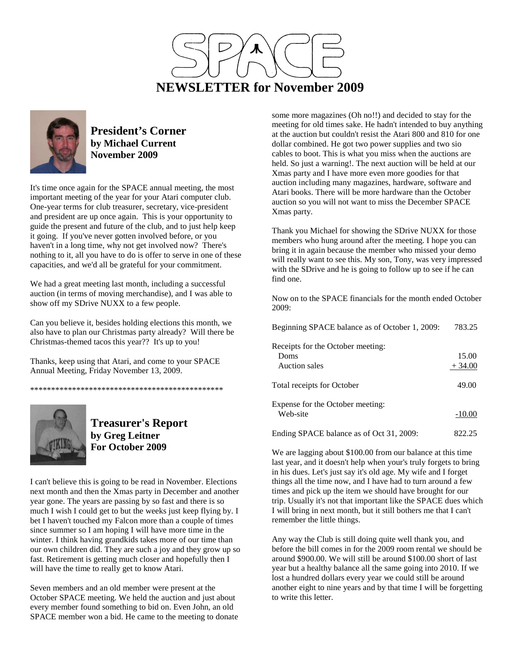



### **President's Corner by Michael Current November 2009**

It's time once again for the SPACE annual meeting, the most important meeting of the year for your Atari computer club. One-year terms for club treasurer, secretary, vice-president and president are up once again. This is your opportunity to guide the present and future of the club, and to just help keep it going. If you've never gotten involved before, or you haven't in a long time, why not get involved now? There's nothing to it, all you have to do is offer to serve in one of these capacities, and we'd all be grateful for your commitment.

We had a great meeting last month, including a successful auction (in terms of moving merchandise), and I was able to show off my SDrive NUXX to a few people.

Can you believe it, besides holding elections this month, we also have to plan our Christmas party already? Will there be Christmas-themed tacos this year?? It's up to you!

Thanks, keep using that Atari, and come to your SPACE Annual Meeting, Friday November 13, 2009.

\*\*\*\*\*\*\*\*\*\*\*\*\*\*\*\*\*\*\*\*\*\*\*\*\*\*\*\*\*\*\*\*\*\*\*\*\*\*\*\*\*\*\*\*\*\*



## **Treasurer's Report by Greg Leitner For October 2009**

I can't believe this is going to be read in November. Elections next month and then the Xmas party in December and another year gone. The years are passing by so fast and there is so much I wish I could get to but the weeks just keep flying by. I bet I haven't touched my Falcon more than a couple of times since summer so I am hoping I will have more time in the winter. I think having grandkids takes more of our time than our own children did. They are such a joy and they grow up so fast. Retirement is getting much closer and hopefully then I will have the time to really get to know Atari.

Seven members and an old member were present at the October SPACE meeting. We held the auction and just about every member found something to bid on. Even John, an old SPACE member won a bid. He came to the meeting to donate

some more magazines (Oh no!!) and decided to stay for the meeting for old times sake. He hadn't intended to buy anything at the auction but couldn't resist the Atari 800 and 810 for one dollar combined. He got two power supplies and two sio cables to boot. This is what you miss when the auctions are held. So just a warning!. The next auction will be held at our Xmas party and I have more even more goodies for that auction including many magazines, hardware, software and Atari books. There will be more hardware than the October auction so you will not want to miss the December SPACE Xmas party.

Thank you Michael for showing the SDrive NUXX for those members who hung around after the meeting. I hope you can bring it in again because the member who missed your demo will really want to see this. My son, Tony, was very impressed with the SDrive and he is going to follow up to see if he can find one.

Now on to the SPACE financials for the month ended October 2009:

| Beginning SPACE balance as of October 1, 2009:             | 783.25            |
|------------------------------------------------------------|-------------------|
| Receipts for the October meeting:<br>Doms<br>Auction sales | 15.00<br>$+34.00$ |
| Total receipts for October                                 | 49.00             |
| Expense for the October meeting:<br>Web-site               | $-10.00$          |
| Ending SPACE balance as of Oct 31, 2009:                   | 822.25            |

We are lagging about \$100.00 from our balance at this time last year, and it doesn't help when your's truly forgets to bring in his dues. Let's just say it's old age. My wife and I forget things all the time now, and I have had to turn around a few times and pick up the item we should have brought for our trip. Usually it's not that important like the SPACE dues which I will bring in next month, but it still bothers me that I can't remember the little things.

Any way the Club is still doing quite well thank you, and before the bill comes in for the 2009 room rental we should be around \$900.00. We will still be around \$100.00 short of last year but a healthy balance all the same going into 2010. If we lost a hundred dollars every year we could still be around another eight to nine years and by that time I will be forgetting to write this letter.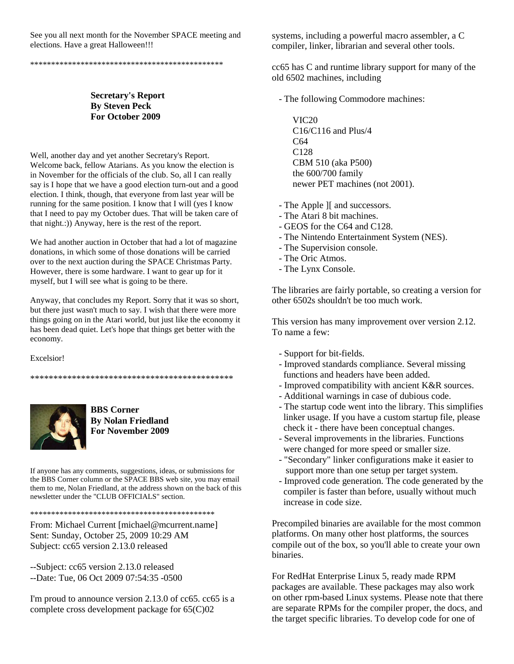See you all next month for the November SPACE meeting and elections. Have a great Halloween!!!

\*\*\*\*\*\*\*\*\*\*\*\*\*\*\*\*\*\*\*\*\*\*\*\*\*\*\*\*\*\*\*\*\*\*\*\*\*\*\*\*\*\*\*\*\*\*

#### **Secretary's Report By Steven Peck For October 2009**

Well, another day and yet another Secretary's Report. Welcome back, fellow Atarians. As you know the election is in November for the officials of the club. So, all I can really say is I hope that we have a good election turn-out and a good election. I think, though, that everyone from last year will be running for the same position. I know that I will (yes I know that I need to pay my October dues. That will be taken care of that night.:)) Anyway, here is the rest of the report.

We had another auction in October that had a lot of magazine donations, in which some of those donations will be carried over to the next auction during the SPACE Christmas Party. However, there is some hardware. I want to gear up for it myself, but I will see what is going to be there.

Anyway, that concludes my Report. Sorry that it was so short, but there just wasn't much to say. I wish that there were more things going on in the Atari world, but just like the economy it has been dead quiet. Let's hope that things get better with the economy.

Excelsior!



**BBS Corner By Nolan Friedland For November 2009** 

\*\*\*\*\*\*\*\*\*\*\*\*\*\*\*\*\*\*\*\*\*\*\*\*\*\*\*\*\*\*\*\*\*\*\*\*\*\*\*\*\*\*\*\*

If anyone has any comments, suggestions, ideas, or submissions for the BBS Corner column or the SPACE BBS web site, you may email them to me, Nolan Friedland, at the address shown on the back of this newsletter under the "CLUB OFFICIALS" section.

\*\*\*\*\*\*\*\*\*\*\*\*\*\*\*\*\*\*\*\*\*\*\*\*\*\*\*\*\*\*\*\*\*\*\*\*\*\*\*\*\*\*\*\*

From: Michael Current [michael@mcurrent.name] Sent: Sunday, October 25, 2009 10:29 AM Subject: cc65 version 2.13.0 released

--Subject: cc65 version 2.13.0 released --Date: Tue, 06 Oct 2009 07:54:35 -0500

I'm proud to announce version 2.13.0 of cc65. cc65 is a complete cross development package for 65(C)02

systems, including a powerful macro assembler, a C compiler, linker, librarian and several other tools.

cc65 has C and runtime library support for many of the old 6502 machines, including

- The following Commodore machines:

 VIC20 C16/C116 and Plus/4 C64 C128 CBM 510 (aka P500) the 600/700 family newer PET machines (not 2001).

- The Apple ][ and successors.

- The Atari 8 bit machines.
- GEOS for the C64 and C128.
- The Nintendo Entertainment System (NES).
- The Supervision console.
- The Oric Atmos.
- The Lynx Console.

The libraries are fairly portable, so creating a version for other 6502s shouldn't be too much work.

This version has many improvement over version 2.12. To name a few:

- Support for bit-fields.
- Improved standards compliance. Several missing functions and headers have been added.
- Improved compatibility with ancient K&R sources.
- Additional warnings in case of dubious code.
- The startup code went into the library. This simplifies linker usage. If you have a custom startup file, please check it - there have been conceptual changes.
- Several improvements in the libraries. Functions were changed for more speed or smaller size.
- "Secondary" linker configurations make it easier to support more than one setup per target system.
- Improved code generation. The code generated by the compiler is faster than before, usually without much increase in code size.

Precompiled binaries are available for the most common platforms. On many other host platforms, the sources compile out of the box, so you'll able to create your own binaries.

For RedHat Enterprise Linux 5, ready made RPM packages are available. These packages may also work on other rpm-based Linux systems. Please note that there are separate RPMs for the compiler proper, the docs, and the target specific libraries. To develop code for one of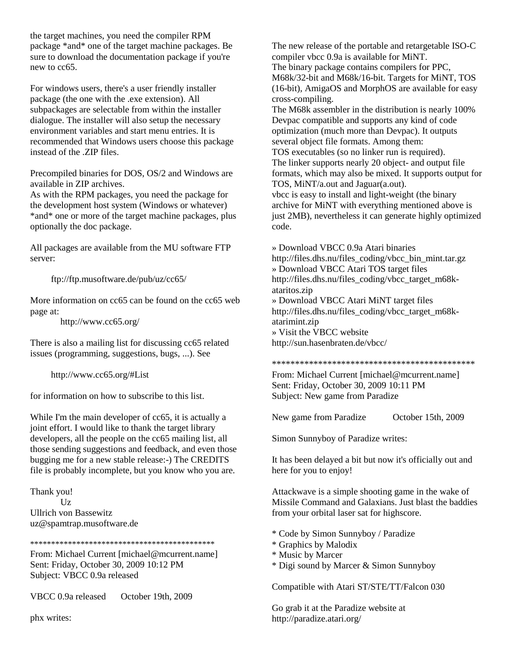the target machines, you need the compiler RPM package \*and\* one of the target machine packages. Be sure to download the documentation package if you're new to cc65.

For windows users, there's a user friendly installer package (the one with the .exe extension). All subpackages are selectable from within the installer dialogue. The installer will also setup the necessary environment variables and start menu entries. It is recommended that Windows users choose this package instead of the .ZIP files.

Precompiled binaries for DOS, OS/2 and Windows are available in ZIP archives.

As with the RPM packages, you need the package for the development host system (Windows or whatever) \*and\* one or more of the target machine packages, plus optionally the doc package.

All packages are available from the MU software FTP server:

ftp://ftp.musoftware.de/pub/uz/cc65/

More information on cc65 can be found on the cc65 web page at:

http://www.cc65.org/

There is also a mailing list for discussing cc65 related issues (programming, suggestions, bugs, ...). See

http://www.cc65.org/#List

for information on how to subscribe to this list.

While I'm the main developer of cc65, it is actually a joint effort. I would like to thank the target library developers, all the people on the cc65 mailing list, all those sending suggestions and feedback, and even those bugging me for a new stable release:-) The CREDITS file is probably incomplete, but you know who you are.

Thank you!  $Uz$ Ullrich von Bassewitz uz@spamtrap.musoftware.de

#### \*\*\*\*\*\*\*\*\*\*\*\*\*\*\*\*\*\*\*\*\*\*\*\*\*\*\*\*\*\*\*\*\*\*\*\*\*\*\*\*\*\*\*\*

From: Michael Current [michael@mcurrent.name] Sent: Friday, October 30, 2009 10:12 PM Subject: VBCC 0.9a released

VBCC 0.9a released October 19th, 2009

phx writes:

The new release of the portable and retargetable ISO-C compiler vbcc 0.9a is available for MiNT. The binary package contains compilers for PPC, M68k/32-bit and M68k/16-bit. Targets for MiNT, TOS (16-bit), AmigaOS and MorphOS are available for easy cross-compiling.

The M68k assembler in the distribution is nearly 100% Devpac compatible and supports any kind of code optimization (much more than Devpac). It outputs several object file formats. Among them:

TOS executables (so no linker run is required). The linker supports nearly 20 object- and output file formats, which may also be mixed. It supports output for TOS, MiNT/a.out and Jaguar(a.out).

vbcc is easy to install and light-weight (the binary archive for MiNT with everything mentioned above is just 2MB), nevertheless it can generate highly optimized code.

» Download VBCC 0.9a Atari binaries http://files.dhs.nu/files\_coding/vbcc\_bin\_mint.tar.gz » Download VBCC Atari TOS target files http://files.dhs.nu/files\_coding/vbcc\_target\_m68kataritos.zip » Download VBCC Atari MiNT target files http://files.dhs.nu/files\_coding/vbcc\_target\_m68katarimint.zip » Visit the VBCC website http://sun.hasenbraten.de/vbcc/

#### \*\*\*\*\*\*\*\*\*\*\*\*\*\*\*\*\*\*\*\*\*\*\*\*\*\*\*\*\*\*\*\*\*\*\*\*\*\*\*\*\*\*\*\*

From: Michael Current [michael@mcurrent.name] Sent: Friday, October 30, 2009 10:11 PM Subject: New game from Paradize

New game from Paradize October 15th, 2009

Simon Sunnyboy of Paradize writes:

It has been delayed a bit but now it's officially out and here for you to enjoy!

Attackwave is a simple shooting game in the wake of Missile Command and Galaxians. Just blast the baddies from your orbital laser sat for highscore.

- \* Code by Simon Sunnyboy / Paradize
- \* Graphics by Malodix
- \* Music by Marcer
- \* Digi sound by Marcer & Simon Sunnyboy

Compatible with Atari ST/STE/TT/Falcon 030

Go grab it at the Paradize website at http://paradize.atari.org/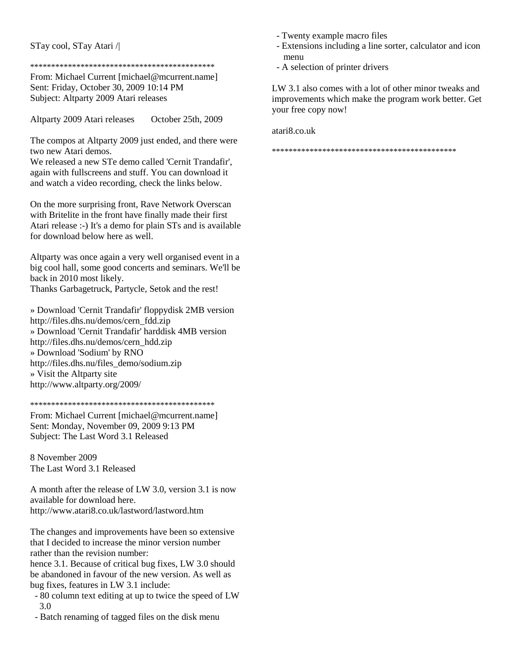#### STay cool, STay Atari /|

#### \*\*\*\*\*\*\*\*\*\*\*\*\*\*\*\*\*\*\*\*\*\*\*\*\*\*\*\*\*\*\*\*\*\*\*\*\*\*\*\*\*\*\*\*

From: Michael Current [michael@mcurrent.name] Sent: Friday, October 30, 2009 10:14 PM Subject: Altparty 2009 Atari releases

Altparty 2009 Atari releases October 25th, 2009

The compos at Altparty 2009 just ended, and there were two new Atari demos.

We released a new STe demo called 'Cernit Trandafir', again with fullscreens and stuff. You can download it and watch a video recording, check the links below.

On the more surprising front, Rave Network Overscan with Britelite in the front have finally made their first Atari release :-) It's a demo for plain STs and is available for download below here as well.

Altparty was once again a very well organised event in a big cool hall, some good concerts and seminars. We'll be back in 2010 most likely. Thanks Garbagetruck, Partycle, Setok and the rest!

» Download 'Cernit Trandafir' floppydisk 2MB version http://files.dhs.nu/demos/cern\_fdd.zip » Download 'Cernit Trandafir' harddisk 4MB version http://files.dhs.nu/demos/cern\_hdd.zip » Download 'Sodium' by RNO http://files.dhs.nu/files\_demo/sodium.zip » Visit the Altparty site http://www.altparty.org/2009/

```
********************************************
```
From: Michael Current [michael@mcurrent.name] Sent: Monday, November 09, 2009 9:13 PM Subject: The Last Word 3.1 Released

8 November 2009 The Last Word 3.1 Released

A month after the release of LW 3.0, version 3.1 is now available for download here. http://www.atari8.co.uk/lastword/lastword.htm

The changes and improvements have been so extensive that I decided to increase the minor version number rather than the revision number:

hence 3.1. Because of critical bug fixes, LW 3.0 should be abandoned in favour of the new version. As well as bug fixes, features in LW 3.1 include:

- 80 column text editing at up to twice the speed of LW 3.0
- Batch renaming of tagged files on the disk menu
- Twenty example macro files
- Extensions including a line sorter, calculator and icon menu
- A selection of printer drivers

LW 3.1 also comes with a lot of other minor tweaks and improvements which make the program work better. Get your free copy now!

atari8.co.uk

\*\*\*\*\*\*\*\*\*\*\*\*\*\*\*\*\*\*\*\*\*\*\*\*\*\*\*\*\*\*\*\*\*\*\*\*\*\*\*\*\*\*\*\*